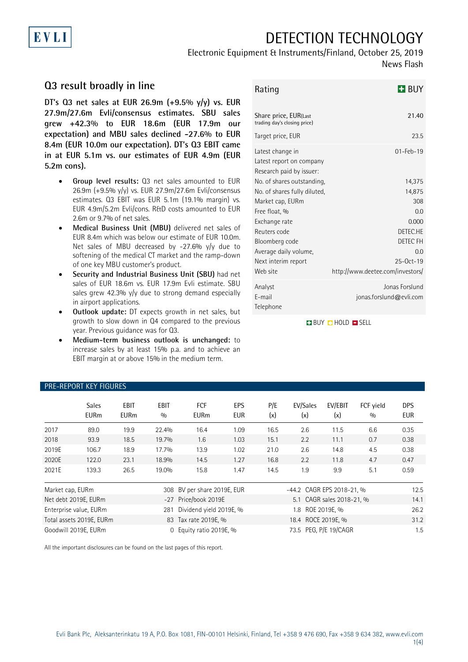# DETECTION TECHNOLOGY

## Electronic Equipment & Instruments/Finland, October 25, 2019

### News Flash

### **Q3 result broadly in line**

**DT's Q3 net sales at EUR 26.9m (+9.5% y/y) vs. EUR 27.9m/27.6m Evli/consensus estimates. SBU sales grew +42.3% to EUR 18.6m (EUR 17.9m our expectation) and MBU sales declined -27.6% to EUR 8.4m (EUR 10.0m our expectation). DT's Q3 EBIT came in at EUR 5.1m vs. our estimates of EUR 4.9m (EUR 5.2m cons).** 

- **Group level results:** Q3 net sales amounted to EUR 26.9m (+9.5% y/y) vs. EUR 27.9m/27.6m Evli/consensus estimates. Q3 EBIT was EUR 5.1m (19.1% margin) vs. EUR 4.9m/5.2m Evli/cons. R&D costs amounted to EUR 2.6m or 9.7% of net sales.
- **Medical Business Unit (MBU)** delivered net sales of EUR 8.4m which was below our estimate of EUR 10.0m. Net sales of MBU decreased by -27.6% y/y due to softening of the medical CT market and the ramp-down of one key MBU customer's product.
- **Security and Industrial Business Unit (SBU)** had net sales of EUR 18.6m vs. EUR 17.9m Evli estimate. SBU sales grew 42.3% y/y due to strong demand especially in airport applications.
- **Outlook update:** DT expects growth in net sales, but growth to slow down in Q4 compared to the previous year. Previous guidance was for Q3.
- **Medium-term business outlook is unchanged:** to increase sales by at least 15% p.a. and to achieve an EBIT margin at or above 15% in the medium term.

| Rating                                                                   | <b>H</b> BUY                              |
|--------------------------------------------------------------------------|-------------------------------------------|
| Share price, EUR(Last<br>trading day's closing price)                    | 21.40                                     |
| Target price, EUR                                                        | 23.5                                      |
| Latest change in<br>Latest report on company<br>Research paid by issuer: | $01 - \text{Fe}b - 19$                    |
| No. of shares outstanding.                                               | 14,375                                    |
| No. of shares fully diluted.                                             | 14,875                                    |
| Market cap, EURm                                                         | 308                                       |
| Free float, %                                                            | 0 <sub>0</sub>                            |
| Exchange rate                                                            | 0.000                                     |
| Reuters code                                                             | DETEC.HE<br>DETEC FH                      |
| Bloomberg code<br>Average daily volume,                                  | 0.0                                       |
| Next interim report                                                      | $25-0ct-19$                               |
| Web site                                                                 | http://www.deetee.com/investors/          |
| Analyst<br>E-mail<br>Telephone                                           | Jonas Forslund<br>jonas.forslund@evli.com |

**BUY O HOLD O SELL** 

| 112 1121 0111 1121 11001120 |                             |                            |                    |                           |                   |                           |                 |                |                  |                   |
|-----------------------------|-----------------------------|----------------------------|--------------------|---------------------------|-------------------|---------------------------|-----------------|----------------|------------------|-------------------|
|                             | <b>Sales</b><br><b>EURm</b> | <b>EBIT</b><br><b>EURm</b> | <b>EBIT</b><br>0/0 | <b>FCF</b><br><b>EURm</b> | EPS<br><b>EUR</b> | P/E<br>(x)                | EV/Sales<br>(x) | EV/EBIT<br>(x) | FCF yield<br>0/0 | <b>DPS</b><br>EUR |
| 2017                        | 89.0                        | 19.9                       | 22.4%              | 16.4                      | 1.09              | 16.5                      | 2.6             | 11.5           | 6.6              | 0.35              |
| 2018                        | 93.9                        | 18.5                       | 19.7%              | 1.6                       | 1.03              | 15.1                      | 2.2             | 11.1           | 0.7              | 0.38              |
| 2019E                       | 106.7                       | 18.9                       | 17.7%              | 13.9                      | 1.02              | 21.0                      | 2.6             | 14.8           | 4.5              | 0.38              |
| 2020E                       | 122.0                       | 23.1                       | 18.9%              | 14.5                      | 1.27              | 16.8                      | 2.2             | 11.8           | 4.7              | 0.47              |
| 2021E                       | 139.3                       | 26.5                       | 19.0%              | 15.8                      | 1.47              | 14.5                      | 1.9             | 9.9            | 5.1              | 0.59              |
| Market cap, EURm            |                             |                            | 308                | BV per share 2019E, EUR   |                   | -44.2 CAGR EPS 2018-21, % |                 |                | 12.5             |                   |
|                             | Net debt 2019E, EURm        |                            |                    | -27 Price/book 2019E      |                   | 5.1 CAGR sales 2018-21, % |                 |                | 14.1             |                   |
|                             | Enterprise value, EURm      |                            | 281                | Dividend yield 2019E, %   |                   | ROE 2019E, %<br>1.8       |                 |                | 26.2             |                   |
|                             | Total assets 2019E, EURm    |                            |                    | 83 Tax rate 2019E, %      |                   | 18.4 ROCE 2019E. %        |                 |                | 31.2             |                   |
|                             | Goodwill 2019E, EURm        |                            | 0                  | Equity ratio 2019E, %     |                   | 73.5 PEG, P/E 19/CAGR     |                 |                | 1.5              |                   |

All the important disclosures can be found on the last pages of this report.

# PRE-REPORT KEY FIGURES

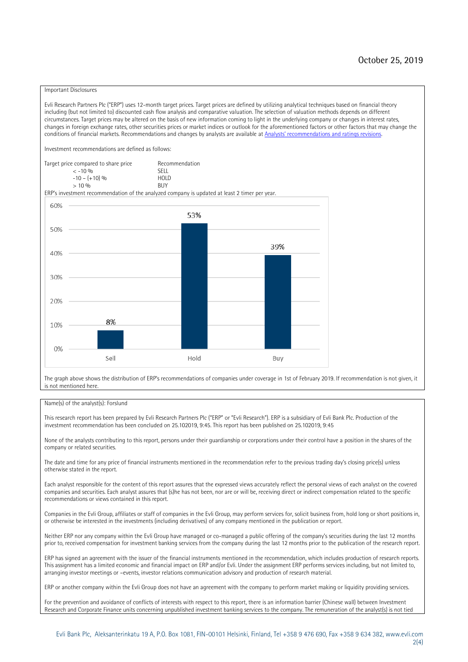#### Important Disclosures

Evli Research Partners Plc ("ERP") uses 12-month target prices. Target prices are defined by utilizing analytical techniques based on financial theory including (but not limited to) discounted cash flow analysis and comparative valuation. The selection of valuation methods depends on different circumstances. Target prices may be altered on the basis of new information coming to light in the underlying company or changes in interest rates, changes in foreign exchange rates, other securities prices or market indices or outlook for the aforementioned factors or other factors that may change the conditions of financial markets. Recommendations and changes by analysts are available at [Analysts' recommendations and ratings revisions](https://research.evli.com/JasperAllModels.action?authParam=key;461&authParam=x;G3rNagWrtf7K&authType=3). Investment recommendations are defined as follows: Target price compared to share price Recommendation<br> $\leq 10\%$  $\langle 5, 10, 10 \rangle$  SELL<br>  $\langle -10, 6, 10 \rangle$  SELL<br>  $\langle 10, 10, 10 \rangle$  $-10 - (+10) \%$  HOLD<br>> 10 % BUY  $> 10\%$ ERP's investment recommendation of the analyzed company is updated at least 2 timer per year. 60% 53% 50% 39% 40% 30%  $20%$ 8% 10% 0% Sell Hold Buy

The graph above shows the distribution of ERP's recommendations of companies under coverage in 1st of February 2019. If recommendation is not given, it is not mentioned here.

#### Name(s) of the analyst(s): Forslund

This research report has been prepared by Evli Research Partners Plc ("ERP" or "Evli Research"). ERP is a subsidiary of Evli Bank Plc. Production of the investment recommendation has been concluded on 25.102019, 9:45. This report has been published on 25.102019, 9:45

None of the analysts contributing to this report, persons under their guardianship or corporations under their control have a position in the shares of the company or related securities.

The date and time for any price of financial instruments mentioned in the recommendation refer to the previous trading day's closing price(s) unless otherwise stated in the report.

Each analyst responsible for the content of this report assures that the expressed views accurately reflect the personal views of each analyst on the covered companies and securities. Each analyst assures that (s)he has not been, nor are or will be, receiving direct or indirect compensation related to the specific recommendations or views contained in this report.

Companies in the Evli Group, affiliates or staff of companies in the Evli Group, may perform services for, solicit business from, hold long or short positions in, or otherwise be interested in the investments (including derivatives) of any company mentioned in the publication or report.

Neither ERP nor any company within the Evli Group have managed or co-managed a public offering of the company's securities during the last 12 months prior to, received compensation for investment banking services from the company during the last 12 months prior to the publication of the research report.

ERP has signed an agreement with the issuer of the financial instruments mentioned in the recommendation, which includes production of research reports. This assignment has a limited economic and financial impact on ERP and/or Evli. Under the assignment ERP performs services including, but not limited to, arranging investor meetings or –events, investor relations communication advisory and production of research material.

ERP or another company within the Evli Group does not have an agreement with the company to perform market making or liquidity providing services.

For the prevention and avoidance of conflicts of interests with respect to this report, there is an information barrier (Chinese wall) between Investment Research and Corporate Finance units concerning unpublished investment banking services to the company. The remuneration of the analyst(s) is not tied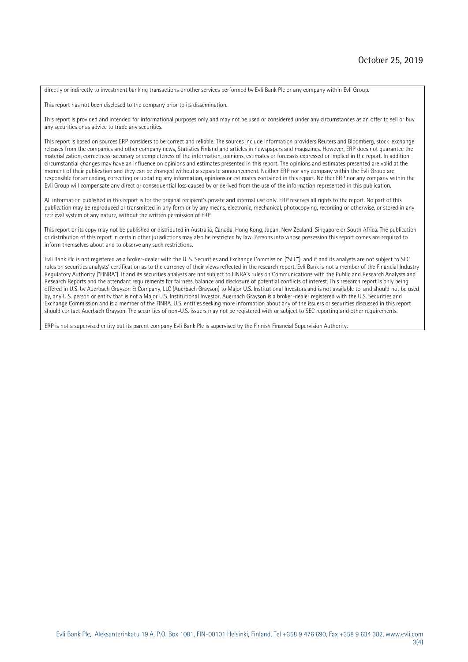directly or indirectly to investment banking transactions or other services performed by Evli Bank Plc or any company within Evli Group.

This report has not been disclosed to the company prior to its dissemination.

This report is provided and intended for informational purposes only and may not be used or considered under any circumstances as an offer to sell or buy any securities or as advice to trade any securities.

This report is based on sources ERP considers to be correct and reliable. The sources include information providers Reuters and Bloomberg, stock-exchange releases from the companies and other company news, Statistics Finland and articles in newspapers and magazines. However, ERP does not guarantee the materialization, correctness, accuracy or completeness of the information, opinions, estimates or forecasts expressed or implied in the report. In addition, circumstantial changes may have an influence on opinions and estimates presented in this report. The opinions and estimates presented are valid at the moment of their publication and they can be changed without a separate announcement. Neither ERP nor any company within the Evli Group are responsible for amending, correcting or updating any information, opinions or estimates contained in this report. Neither ERP nor any company within the Evli Group will compensate any direct or consequential loss caused by or derived from the use of the information represented in this publication.

All information published in this report is for the original recipient's private and internal use only. ERP reserves all rights to the report. No part of this publication may be reproduced or transmitted in any form or by any means, electronic, mechanical, photocopying, recording or otherwise, or stored in any retrieval system of any nature, without the written permission of ERP.

This report or its copy may not be published or distributed in Australia, Canada, Hong Kong, Japan, New Zealand, Singapore or South Africa. The publication or distribution of this report in certain other jurisdictions may also be restricted by law. Persons into whose possession this report comes are required to inform themselves about and to observe any such restrictions.

Evli Bank Plc is not registered as a broker-dealer with the U. S. Securities and Exchange Commission ("SEC"), and it and its analysts are not subject to SEC rules on securities analysts' certification as to the currency of their views reflected in the research report. Evli Bank is not a member of the Financial Industry Regulatory Authority ("FINRA"). It and its securities analysts are not subject to FINRA's rules on Communications with the Public and Research Analysts and Research Reports and the attendant requirements for fairness, balance and disclosure of potential conflicts of interest. This research report is only being offered in U.S. by Auerbach Grayson & Company, LLC (Auerbach Grayson) to Major U.S. Institutional Investors and is not available to, and should not be used by, any U.S. person or entity that is not a Major U.S. Institutional Investor. Auerbach Grayson is a broker-dealer registered with the U.S. Securities and Exchange Commission and is a member of the FINRA. U.S. entities seeking more information about any of the issuers or securities discussed in this report should contact Auerbach Grayson. The securities of non-U.S. issuers may not be registered with or subject to SEC reporting and other requirements.

ERP is not a supervised entity but its parent company Evli Bank Plc is supervised by the Finnish Financial Supervision Authority.